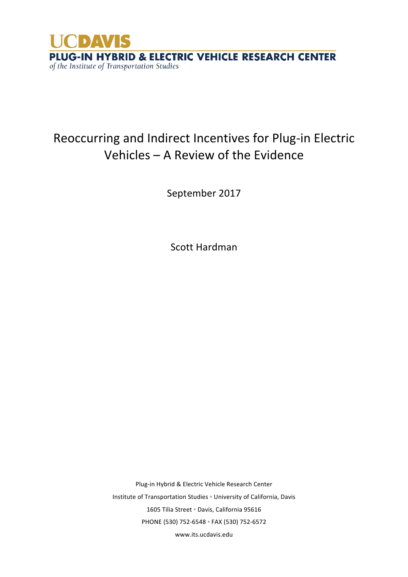

# Reoccurring and Indirect Incentives for Plug-in Electric Vehicles  $-$  A Review of the Evidence

September 2017

Scott Hardman

Plug-in Hybrid & Electric Vehicle Research Center Institute of Transportation Studies ∘ University of California, Davis 1605 Tilia Street 。 Davis, California 95616 PHONE (530) 752-6548 ◦ FAX (530) 752-6572 www.its.ucdavis.edu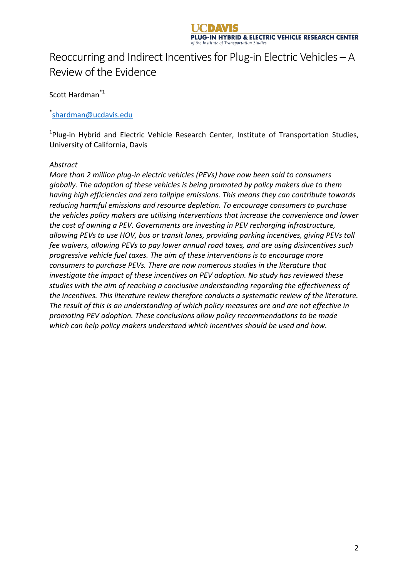# Reoccurring and Indirect Incentives for Plug-in Electric Vehicles  $-A$ Review of the Evidence

Scott Hardman<sup>\*1</sup>

#### \* shardman@ucdavis.edu

<sup>1</sup>Plug-in Hybrid and Electric Vehicle Research Center, Institute of Transportation Studies, University of California, Davis

#### *Abstract*

*More than 2 million plug-in electric vehicles (PEVs) have now been sold to consumers* globally. The adoption of these vehicles is being promoted by policy makers due to them *having high efficiencies and zero tailpipe emissions. This means they can contribute towards* reducing harmful emissions and resource depletion. To encourage consumers to purchase *the vehicles policy makers are utilising interventions that increase the convenience and lower the cost of owning a PEV. Governments are investing in PEV recharging infrastructure,* allowing PEVs to use HOV, bus or transit lanes, providing parking incentives, giving PEVs toll *fee* waivers, allowing PEVs to pay lower annual road taxes, and are using disincentives such *progressive vehicle fuel taxes. The aim of these interventions is to encourage more consumers to purchase PEVs. There are now numerous studies in the literature that investigate the impact of these incentives on PEV adoption. No study has reviewed these* studies with the aim of reaching a conclusive understanding regarding the effectiveness of the incentives. This literature review therefore conducts a systematic review of the literature. The result of this is an understanding of which policy measures are and are not effective in promoting PEV adoption. These conclusions allow policy recommendations to be made which can help policy makers understand which incentives should be used and how.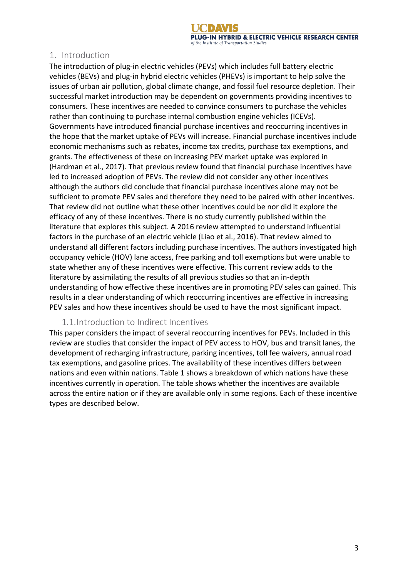#### 1. Introduction

The introduction of plug-in electric vehicles (PEVs) which includes full battery electric vehicles (BEVs) and plug-in hybrid electric vehicles (PHEVs) is important to help solve the issues of urban air pollution, global climate change, and fossil fuel resource depletion. Their successful market introduction may be dependent on governments providing incentives to consumers. These incentives are needed to convince consumers to purchase the vehicles rather than continuing to purchase internal combustion engine vehicles (ICEVs). Governments have introduced financial purchase incentives and reoccurring incentives in the hope that the market uptake of PEVs will increase. Financial purchase incentives include economic mechanisms such as rebates, income tax credits, purchase tax exemptions, and grants. The effectiveness of these on increasing PEV market uptake was explored in (Hardman et al., 2017). That previous review found that financial purchase incentives have led to increased adoption of PEVs. The review did not consider any other incentives although the authors did conclude that financial purchase incentives alone may not be sufficient to promote PEV sales and therefore they need to be paired with other incentives. That review did not outline what these other incentives could be nor did it explore the efficacy of any of these incentives. There is no study currently published within the literature that explores this subject. A 2016 review attempted to understand influential factors in the purchase of an electric vehicle (Liao et al., 2016). That review aimed to understand all different factors including purchase incentives. The authors investigated high occupancy vehicle (HOV) lane access, free parking and toll exemptions but were unable to state whether any of these incentives were effective. This current review adds to the literature by assimilating the results of all previous studies so that an in-depth understanding of how effective these incentives are in promoting PEV sales can gained. This results in a clear understanding of which reoccurring incentives are effective in increasing PEV sales and how these incentives should be used to have the most significant impact.

#### 1.1.Introduction to Indirect Incentives

This paper considers the impact of several reoccurring incentives for PEVs. Included in this review are studies that consider the impact of PEV access to HOV, bus and transit lanes, the development of recharging infrastructure, parking incentives, toll fee waivers, annual road tax exemptions, and gasoline prices. The availability of these incentives differs between nations and even within nations. Table 1 shows a breakdown of which nations have these incentives currently in operation. The table shows whether the incentives are available across the entire nation or if they are available only in some regions. Each of these incentive types are described below.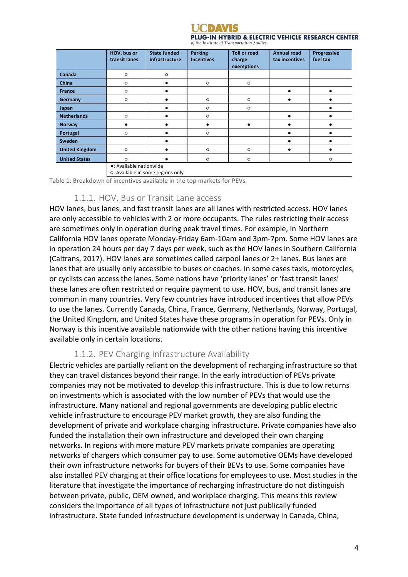

|                       | HOV, bus or<br>transit lanes                                 | <b>State funded</b><br>infrastructure | <b>Parking</b><br><b>Incentives</b> | <b>Toll or road</b><br>charge<br>exemptions | <b>Annual road</b><br>tax incentives | <b>Progressive</b><br>fuel tax |  |  |  |
|-----------------------|--------------------------------------------------------------|---------------------------------------|-------------------------------------|---------------------------------------------|--------------------------------------|--------------------------------|--|--|--|
| Canada                | $\circ$                                                      | $\circ$                               |                                     |                                             |                                      |                                |  |  |  |
| China                 | O                                                            |                                       | $\circ$                             | $\circ$                                     |                                      |                                |  |  |  |
| <b>France</b>         | O                                                            |                                       |                                     |                                             |                                      |                                |  |  |  |
| Germany               | $\circ$                                                      |                                       | $\circ$                             | $\circ$                                     |                                      |                                |  |  |  |
| Japan                 |                                                              |                                       | $\circ$                             | $\circ$                                     |                                      |                                |  |  |  |
| <b>Netherlands</b>    | $\circ$                                                      |                                       | $\circ$                             |                                             |                                      |                                |  |  |  |
| <b>Norway</b>         |                                                              |                                       | ٠                                   | ٠                                           |                                      |                                |  |  |  |
| Portugal              | O                                                            |                                       | $\circ$                             |                                             |                                      |                                |  |  |  |
| Sweden                |                                                              |                                       |                                     |                                             |                                      |                                |  |  |  |
| <b>United Kingdom</b> | O                                                            |                                       | $\circ$                             | $\circ$                                     |                                      |                                |  |  |  |
| <b>United States</b>  | $\circ$                                                      |                                       | $\circ$                             | $\circ$                                     |                                      | O                              |  |  |  |
|                       | •: Available nationwide<br>o: Available in some regions only |                                       |                                     |                                             |                                      |                                |  |  |  |

Table 1: Breakdown of incentives available in the top markets for PEVs.

#### 1.1.1. HOV, Bus or Transit Lane access

HOV lanes, bus lanes, and fast transit lanes are all lanes with restricted access. HOV lanes are only accessible to vehicles with 2 or more occupants. The rules restricting their access are sometimes only in operation during peak travel times. For example, in Northern California HOV lanes operate Monday-Friday 6am-10am and 3pm-7pm. Some HOV lanes are in operation 24 hours per day 7 days per week, such as the HOV lanes in Southern California (Caltrans, 2017). HOV lanes are sometimes called carpool lanes or 2+ lanes. Bus lanes are lanes that are usually only accessible to buses or coaches. In some cases taxis, motorcycles, or cyclists can access the lanes. Some nations have 'priority lanes' or 'fast transit lanes' these lanes are often restricted or require payment to use. HOV, bus, and transit lanes are common in many countries. Very few countries have introduced incentives that allow PEVs to use the lanes. Currently Canada, China, France, Germany, Netherlands, Norway, Portugal, the United Kingdom, and United States have these programs in operation for PEVs. Only in Norway is this incentive available nationwide with the other nations having this incentive available only in certain locations.

#### 1.1.2. PEV Charging Infrastructure Availability

Electric vehicles are partially reliant on the development of recharging infrastructure so that they can travel distances beyond their range. In the early introduction of PEVs private companies may not be motivated to develop this infrastructure. This is due to low returns on investments which is associated with the low number of PEVs that would use the infrastructure. Many national and regional governments are developing public electric vehicle infrastructure to encourage PEV market growth, they are also funding the development of private and workplace charging infrastructure. Private companies have also funded the installation their own infrastructure and developed their own charging networks. In regions with more mature PEV markets private companies are operating networks of chargers which consumer pay to use. Some automotive OEMs have developed their own infrastructure networks for buyers of their BEVs to use. Some companies have also installed PEV charging at their office locations for employees to use. Most studies in the literature that investigate the importance of recharging infrastructure do not distinguish between private, public, OEM owned, and workplace charging. This means this review considers the importance of all types of infrastructure not just publically funded infrastructure. State funded infrastructure development is underway in Canada, China,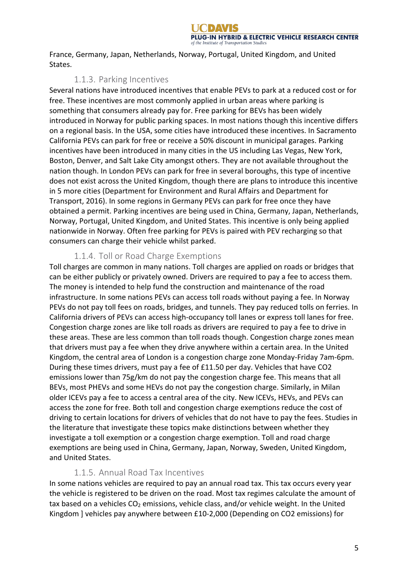France, Germany, Japan, Netherlands, Norway, Portugal, United Kingdom, and United States. 

# 1.1.3. Parking Incentives

Several nations have introduced incentives that enable PEVs to park at a reduced cost or for free. These incentives are most commonly applied in urban areas where parking is something that consumers already pay for. Free parking for BEVs has been widely introduced in Norway for public parking spaces. In most nations though this incentive differs on a regional basis. In the USA, some cities have introduced these incentives. In Sacramento California PEVs can park for free or receive a 50% discount in municipal garages. Parking incentives have been introduced in many cities in the US including Las Vegas, New York, Boston, Denver, and Salt Lake City amongst others. They are not available throughout the nation though. In London PEVs can park for free in several boroughs, this type of incentive does not exist across the United Kingdom, though there are plans to introduce this incentive in 5 more cities (Department for Environment and Rural Affairs and Department for Transport, 2016). In some regions in Germany PEVs can park for free once they have obtained a permit. Parking incentives are being used in China, Germany, Japan, Netherlands, Norway, Portugal, United Kingdom, and United States. This incentive is only being applied nationwide in Norway. Often free parking for PEVs is paired with PEV recharging so that consumers can charge their vehicle whilst parked.

# 1.1.4. Toll or Road Charge Exemptions

Toll charges are common in many nations. Toll charges are applied on roads or bridges that can be either publicly or privately owned. Drivers are required to pay a fee to access them. The money is intended to help fund the construction and maintenance of the road infrastructure. In some nations PEVs can access toll roads without paying a fee. In Norway PEVs do not pay toll fees on roads, bridges, and tunnels. They pay reduced tolls on ferries. In California drivers of PEVs can access high-occupancy toll lanes or express toll lanes for free. Congestion charge zones are like toll roads as drivers are required to pay a fee to drive in these areas. These are less common than toll roads though. Congestion charge zones mean that drivers must pay a fee when they drive anywhere within a certain area. In the United Kingdom, the central area of London is a congestion charge zone Monday-Friday 7am-6pm. During these times drivers, must pay a fee of £11.50 per day. Vehicles that have CO2 emissions lower than 75g/km do not pay the congestion charge fee. This means that all BEVs, most PHEVs and some HEVs do not pay the congestion charge. Similarly, in Milan older ICEVs pay a fee to access a central area of the city. New ICEVs, HEVs, and PEVs can access the zone for free. Both toll and congestion charge exemptions reduce the cost of driving to certain locations for drivers of vehicles that do not have to pay the fees. Studies in the literature that investigate these topics make distinctions between whether they investigate a toll exemption or a congestion charge exemption. Toll and road charge exemptions are being used in China, Germany, Japan, Norway, Sweden, United Kingdom, and United States.

# 1.1.5. Annual Road Tax Incentives

In some nations vehicles are required to pay an annual road tax. This tax occurs every year the vehicle is registered to be driven on the road. Most tax regimes calculate the amount of tax based on a vehicles  $CO<sub>2</sub>$  emissions, vehicle class, and/or vehicle weight. In the United Kingdom ] vehicles pay anywhere between £10-2,000 (Depending on CO2 emissions) for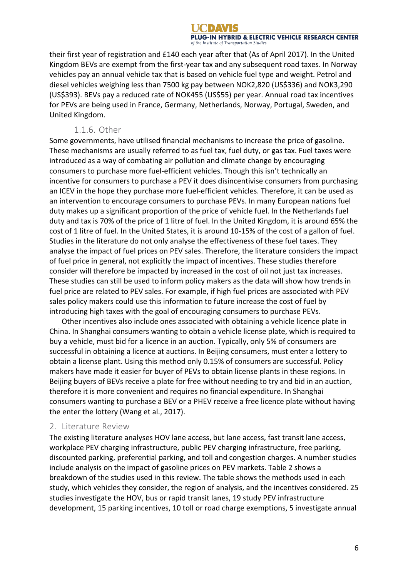their first year of registration and £140 each year after that (As of April 2017). In the United Kingdom BEVs are exempt from the first-year tax and any subsequent road taxes. In Norway vehicles pay an annual vehicle tax that is based on vehicle fuel type and weight. Petrol and diesel vehicles weighing less than 7500 kg pay between NOK2,820 (US\$336) and NOK3,290 (US\$393). BEVs pay a reduced rate of NOK455 (US\$55) per year. Annual road tax incentives for PEVs are being used in France, Germany, Netherlands, Norway, Portugal, Sweden, and United Kingdom. 

#### 1.1.6. Other

Some governments, have utilised financial mechanisms to increase the price of gasoline. These mechanisms are usually referred to as fuel tax, fuel duty, or gas tax. Fuel taxes were introduced as a way of combating air pollution and climate change by encouraging consumers to purchase more fuel-efficient vehicles. Though this isn't technically an incentive for consumers to purchase a PEV it does disincentivise consumers from purchasing an ICEV in the hope they purchase more fuel-efficient vehicles. Therefore, it can be used as an intervention to encourage consumers to purchase PEVs. In many European nations fuel duty makes up a significant proportion of the price of vehicle fuel. In the Netherlands fuel duty and tax is 70% of the price of 1 litre of fuel. In the United Kingdom, it is around 65% the cost of 1 litre of fuel. In the United States, it is around 10-15% of the cost of a gallon of fuel. Studies in the literature do not only analyse the effectiveness of these fuel taxes. They analyse the impact of fuel prices on PEV sales. Therefore, the literature considers the impact of fuel price in general, not explicitly the impact of incentives. These studies therefore consider will therefore be impacted by increased in the cost of oil not just tax increases. These studies can still be used to inform policy makers as the data will show how trends in fuel price are related to PEV sales. For example, if high fuel prices are associated with PEV sales policy makers could use this information to future increase the cost of fuel by introducing high taxes with the goal of encouraging consumers to purchase PEVs.

Other incentives also include ones associated with obtaining a vehicle licence plate in China. In Shanghai consumers wanting to obtain a vehicle license plate, which is required to buy a vehicle, must bid for a licence in an auction. Typically, only 5% of consumers are successful in obtaining a licence at auctions. In Beijing consumers, must enter a lottery to obtain a license plant. Using this method only 0.15% of consumers are successful. Policy makers have made it easier for buyer of PEVs to obtain license plants in these regions. In Beijing buyers of BEVs receive a plate for free without needing to try and bid in an auction, therefore it is more convenient and requires no financial expenditure. In Shanghai consumers wanting to purchase a BEV or a PHEV receive a free licence plate without having the enter the lottery (Wang et al., 2017).

### 2. Literature Review

The existing literature analyses HOV lane access, but lane access, fast transit lane access, workplace PEV charging infrastructure, public PEV charging infrastructure, free parking, discounted parking, preferential parking, and toll and congestion charges. A number studies include analysis on the impact of gasoline prices on PEV markets. Table 2 shows a breakdown of the studies used in this review. The table shows the methods used in each study, which vehicles they consider, the region of analysis, and the incentives considered. 25 studies investigate the HOV, bus or rapid transit lanes, 19 study PEV infrastructure development, 15 parking incentives, 10 toll or road charge exemptions, 5 investigate annual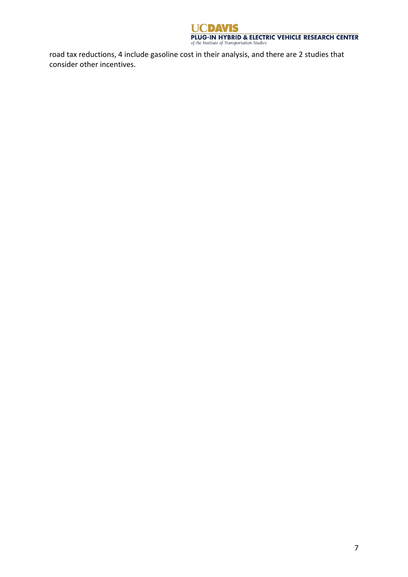

road tax reductions, 4 include gasoline cost in their analysis, and there are 2 studies that consider other incentives.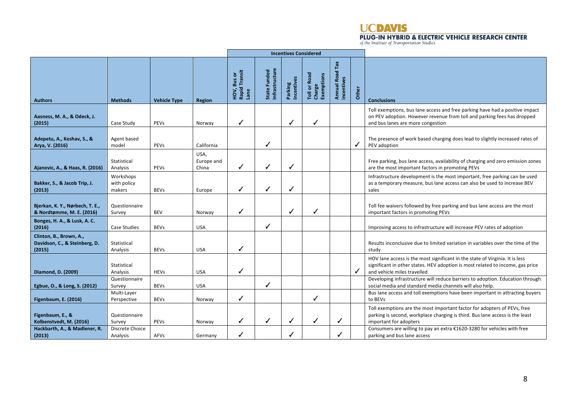

|                                                                    |                                    |                     |                             | <b>Incentives Considered</b>         |                                |                       |                                      |                                      |       |                                                                                                                                                                                               |
|--------------------------------------------------------------------|------------------------------------|---------------------|-----------------------------|--------------------------------------|--------------------------------|-----------------------|--------------------------------------|--------------------------------------|-------|-----------------------------------------------------------------------------------------------------------------------------------------------------------------------------------------------|
| <b>Authors</b>                                                     | <b>Methods</b>                     | <b>Vehicle Type</b> | <b>Region</b>               | Rapid Transit<br>HOV, Bus or<br>Lane | State Funded<br>Infrastructure | Parking<br>Incentives | Toll or Road<br>Charge<br>Exemptions | <b>Annual Road Tax</b><br>incentives | Other | <b>Conclusions</b>                                                                                                                                                                            |
| Aasness, M. A., & Odeck, J.<br>(2015)                              | Case Study                         | PEVs                | Norway                      | ✓                                    |                                | ✓                     | ✓                                    |                                      |       | Toll exemptions, bus lane access and free parking have had a positive impact<br>on PEV adoption. However revenue from toll and parking fees has dropped<br>and bus lanes are more congestion  |
| Adepetu, A., Keshav, S., &<br>Arya, V. (2016)                      | Agent based<br>model               | PEVs                | California                  |                                      | J                              |                       |                                      |                                      | ✓     | The presence of work based charging does lead to slightly increased rates of<br>PEV adoption                                                                                                  |
| Ajanovic, A., & Haas, R. (2016)                                    | Statistical<br>Analysis            | PEVs                | USA,<br>Europe and<br>China | ✓                                    | ✓                              |                       |                                      |                                      |       | Free parking, bus lane access, availability of charging and zero emission zones<br>are the most important factors in promoting PEVs                                                           |
| Bakker, S., & Jacob Trip, J.<br>(2013)                             | Workshops<br>with policy<br>makers | <b>BEVs</b>         | Europe                      | ✓                                    | ✓                              |                       |                                      |                                      |       | Infrastructure development is the most important, free parking can be used<br>as a temporary measure, bus lane access can also be used to increase BEV<br>sales                               |
| Bjerkan, K. Y., Nørbech, T. E.,<br>& Nordtømme, M. E. (2016)       | Questionnaire<br>Survey            | <b>BEV</b>          | Norway                      | ✓                                    |                                | √                     | ✓                                    |                                      |       | Toll fee waivers followed by free parking and bus lane access are the most<br>important factors in promoting PEVs                                                                             |
| Bonges, H. A., & Lusk, A. C.<br>(2016)                             | Case Studies                       | <b>BEVs</b>         | <b>USA</b>                  |                                      | ✓                              |                       |                                      |                                      |       | Improving access to infrastructure will increase PEV rates of adoption                                                                                                                        |
| Clinton, B., Brown, A.,<br>Davidson, C., & Steinberg, D.<br>(2015) | Statistical<br>Analysis            | <b>BEVs</b>         | <b>USA</b>                  | ✓                                    |                                |                       |                                      |                                      |       | Results inconclusive due to limited variation in variables over the time of the<br>study                                                                                                      |
| Diamond, D. (2009)                                                 | Statistical<br>Analysis            | <b>HEVs</b>         | <b>USA</b>                  | ✓                                    |                                |                       |                                      |                                      | ✓     | HOV lane access is the most significant in the state of Virginia. It is less<br>significant in other states. HEV adoption is most related to income, gas price<br>and vehicle miles travelled |
| Egbue, O., & Long, S. (2012)                                       | Questionnaire<br>Survey            | <b>BEVs</b>         | <b>USA</b>                  |                                      | ✓                              |                       |                                      |                                      |       | Developing infrastructure will reduce barriers to adoption. Education through<br>social media and standard media channels will also help.                                                     |
| <b>Figenbaum, E. (2016)</b>                                        | Multi-Layer<br>Perspective         | <b>BEVs</b>         | Norway                      | ✓                                    |                                |                       | J                                    |                                      |       | Bus lane access and toll exemptions have been important in attracting buyers<br>to BEVs                                                                                                       |
| Figenbaum, E., &<br>Kolbenstvedt, M. (2016)                        | Questionnaire<br>Survey            | PEVs                | Norway                      | ✓                                    | ✓                              |                       | ✓                                    | ✓                                    |       | Toll exemptions are the most important factor for adopters of PEVs, free<br>parking is second, workplace charging is third. Bus lane access is the least<br>important for adopters            |
| Hackbarth, A., & Madlener, R.<br>(2013)                            | Discrete Choice<br>Analysis        | AFVs                | Germany                     | ✓                                    |                                |                       |                                      |                                      |       | Consumers are willing to pay an extra €1620-3280 for vehicles with free<br>parking and bus lane access                                                                                        |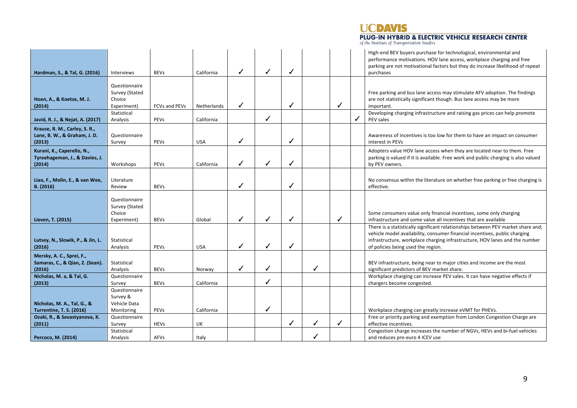# **UCDAVIS**

# **PLUG-IN HYBRID & ELECTRIC VEHICLE RESEARCH CENTER** of the Institute of Transportation Studies

| Hardman, S., & Tal, G. (2016)            | <b>Interviews</b>        | <b>BEVs</b>          | California  | ✓ | ✓ | ✓ |   |   |   | High-end BEV buyers purchase for technological, environmental and<br>performance motivations. HOV lane access, workplace charging and free<br>parking are not motivational factors but they do increase likelihood of repeat<br>purchases |
|------------------------------------------|--------------------------|----------------------|-------------|---|---|---|---|---|---|-------------------------------------------------------------------------------------------------------------------------------------------------------------------------------------------------------------------------------------------|
|                                          |                          |                      |             |   |   |   |   |   |   |                                                                                                                                                                                                                                           |
|                                          | Questionnaire            |                      |             |   |   |   |   |   |   |                                                                                                                                                                                                                                           |
| Hoen, A., & Koetse, M. J.                | Survey (Stated<br>Choice |                      |             |   |   |   |   |   |   | Free parking and bus lane access may stimulate AFV adoption. The findings<br>are not statistically significant though. Bus lane access may be more                                                                                        |
| (2014)                                   | Experiment)              | <b>FCVs and PEVs</b> | Netherlands | ✓ |   | ✓ |   | ✓ |   | important.                                                                                                                                                                                                                                |
|                                          | Statistical              |                      |             |   |   |   |   |   |   | Developing charging infrastructure and raising gas prices can help promote                                                                                                                                                                |
| Javid, R. J., & Nejat, A. (2017)         | Analysis                 | PEVs                 | California  |   | ✓ |   |   |   | ✓ | PEV sales                                                                                                                                                                                                                                 |
| Krause, R. M., Carley, S. R.,            |                          |                      |             |   |   |   |   |   |   |                                                                                                                                                                                                                                           |
| Lane, B. W., & Graham, J. D.             | Questionnaire            |                      |             |   |   |   |   |   |   | Awareness of incentives is too low for them to have an impact on consumer                                                                                                                                                                 |
| (2013)                                   | Survey                   | PEVs                 | <b>USA</b>  | ✓ |   | ✓ |   |   |   | interest in PEVs                                                                                                                                                                                                                          |
| Kurani, K., Caperello, N.,               |                          |                      |             |   |   |   |   |   |   | Adopters value HOV lane access when they are located near to them. Free                                                                                                                                                                   |
| Tyreehageman, J., & Davies, J.<br>(2014) | Workshops                | PEVs                 | California  | ✓ | ℐ | ✓ |   |   |   | parking is valued if it is available. Free work and public charging is also valued<br>by PEV owners.                                                                                                                                      |
|                                          |                          |                      |             |   |   |   |   |   |   |                                                                                                                                                                                                                                           |
| Liao, F., Molin, E., & van Wee,          | Literature               |                      |             |   |   |   |   |   |   | No consensus within the literature on whether free parking or free charging is                                                                                                                                                            |
| B. (2016)                                | Review                   | <b>BEVs</b>          |             | ✓ |   | ✓ |   |   |   | effective.                                                                                                                                                                                                                                |
|                                          | Questionnaire            |                      |             |   |   |   |   |   |   |                                                                                                                                                                                                                                           |
|                                          | Survey (Stated           |                      |             |   |   |   |   |   |   |                                                                                                                                                                                                                                           |
|                                          | Choice                   |                      |             |   |   |   |   |   |   | Some consumers value only financial incentives, some only charging                                                                                                                                                                        |
| Lieven, T. (2015)                        | Experiment)              | <b>BEVs</b>          | Global      | ✓ | ✓ | ✓ |   | ✓ |   | infrastructure and some value all incentives that are available                                                                                                                                                                           |
|                                          |                          |                      |             |   |   |   |   |   |   | There is a statistically significant relationships between PEV market share and;<br>vehicle model availability, consumer financial incentives, public charging                                                                            |
| Lutsey, N., Slowik, P., & Jin, L.        | Statistical              |                      |             |   |   |   |   |   |   | infrastructure, workplace charging infrastructure, HOV lanes and the number                                                                                                                                                               |
| (2016)                                   | Analysis                 | PEVs                 | <b>USA</b>  | ✓ | ✓ | ✓ |   |   |   | of policies being used the region.                                                                                                                                                                                                        |
| Mersky, A. C., Sprei, F.,                |                          |                      |             |   |   |   |   |   |   |                                                                                                                                                                                                                                           |
| Samaras, C., & Qian, Z. (Sean).          | Statistical              |                      |             |   |   |   |   |   |   | BEV infrastructure, being near to major cities and income are the most                                                                                                                                                                    |
| (2016)                                   | Analysis                 | <b>BEVs</b>          | Norway      | ✓ | ✓ |   | ✓ |   |   | significant predictors of BEV market share.                                                                                                                                                                                               |
| Nicholas, M. a, & Tal, G.<br>(2013)      | Questionnaire<br>Survey  | <b>BEVs</b>          | California  |   | ✓ |   |   |   |   | Workplace charging can increase PEV sales. It can have negative effects if<br>chargers become congested.                                                                                                                                  |
|                                          | Questionnaire            |                      |             |   |   |   |   |   |   |                                                                                                                                                                                                                                           |
|                                          | Survey &                 |                      |             |   |   |   |   |   |   |                                                                                                                                                                                                                                           |
| Nicholas, M. A., Tal, G., &              | Vehicle Data             |                      |             |   |   |   |   |   |   |                                                                                                                                                                                                                                           |
| <b>Turrentine, T. S. (2016)</b>          | Monitoring               | PEVs                 | California  |   | ✓ |   |   |   |   | Workplace charging can greatly increase eVMT for PHEVs.                                                                                                                                                                                   |
| Ozaki, R., & Sevastyanova, K.<br>(2011)  | Questionnaire<br>Survey  | <b>HEVs</b>          | UK          |   |   | ✓ | ✓ | ✓ |   | Free or priority parking and exemption from London Congestion Charge are<br>effective incentives.                                                                                                                                         |
|                                          | Statistical              |                      |             |   |   |   |   |   |   | Congestion charge increases the number of NGVs, HEVs and bi-fuel vehicles                                                                                                                                                                 |
| Percoco, M. (2014)                       | Analysis                 | AFVs                 | Italy       |   |   |   |   |   |   | and reduces pre-euro 4 ICEV use                                                                                                                                                                                                           |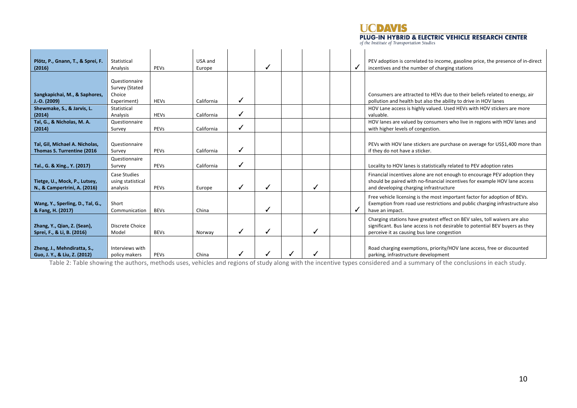**UCDAVIS** 

# **PLUG-IN HYBRID & ELECTRIC VEHICLE RESEARCH CENTER** of the Institute of Transportation Studies

| Plötz, P., Gnann, T., & Sprei, F.<br>(2016)                   | Statistical<br>Analysis                                  | PEVs        | USA and<br>Europe |              |   |  | ✓ | PEV adoption is correlated to income, gasoline price, the presence of in-direct<br>incentives and the number of charging stations                                                                         |
|---------------------------------------------------------------|----------------------------------------------------------|-------------|-------------------|--------------|---|--|---|-----------------------------------------------------------------------------------------------------------------------------------------------------------------------------------------------------------|
| Sangkapichai, M., & Saphores,<br>$J.-D.$ (2009)               | Questionnaire<br>Survey (Stated<br>Choice<br>Experiment) | <b>HEVs</b> | California        | √            |   |  |   | Consumers are attracted to HEVs due to their beliefs related to energy, air<br>pollution and health but also the ability to drive in HOV lanes                                                            |
| Shewmake, S., & Jarvis, L.<br>(2014)                          | Statistical<br>Analysis                                  | <b>HEVs</b> | California        |              |   |  |   | HOV Lane access is highly valued. Used HEVs with HOV stickers are more<br>valuable.                                                                                                                       |
| Tal, G., & Nicholas, M. A.<br>(2014)                          | Questionnaire<br>Survey                                  | PEVs        | California        | $\checkmark$ |   |  |   | HOV lanes are valued by consumers who live in regions with HOV lanes and<br>with higher levels of congestion.                                                                                             |
| Tal, Gil, Michael A. Nicholas,<br>Thomas S. Turrentine (2016  | Questionnaire<br>Survey                                  | PEVs        | California        | ✓            |   |  |   | PEVs with HOV lane stickers are purchase on average for US\$1,400 more than<br>if they do not have a sticker.                                                                                             |
| Tal., G. & Xing., Y. (2017)                                   | Questionnaire<br>Survey                                  | PEVs        | California        | ┙            |   |  |   | Locality to HOV lanes is statistically related to PEV adoption rates                                                                                                                                      |
| Tietge, U., Mock, P., Lutsey,<br>N., & Campertrini, A. (2016) | Case Studies<br>using statistical<br>analysis            | PEVs        | Europe            | √            |   |  |   | Financial incentives alone are not enough to encourage PEV adoption they<br>should be paired with no-financial incentives for example HOV lane access<br>and developing charging infrastructure           |
| Wang, Y., Sperling, D., Tal, G.,<br>& Fang, H. (2017)         | Short<br>Communication                                   | <b>BEVs</b> | China             |              | J |  |   | Free vehicle licensing is the most important factor for adoption of BEVs.<br>Exemption from road use restrictions and public charging infrastructure also<br>have an impact.                              |
| Zhang, Y., Qian, Z. (Sean),<br>Sprei, F., & Li, B. (2016)     | Discrete Choice<br>Model                                 | <b>BEVs</b> | Norway            | ✓            |   |  |   | Charging stations have greatest effect on BEV sales, toll waivers are also<br>significant. Bus lane access is not desirable to potential BEV buyers as they<br>perceive it as causing bus lane congestion |
| Zheng, J., Mehndiratta, S.,<br>Guo, J. Y., & Liu, Z. (2012)   | Interviews with<br>policy makers                         | PEVs        | China             |              |   |  |   | Road charging exemptions, priority/HOV lane access, free or discounted<br>parking, infrastructure development                                                                                             |

Table 2: Table showing the authors, methods uses, vehicles and regions of study along with the incentive types considered and a summary of the conclusions in each study.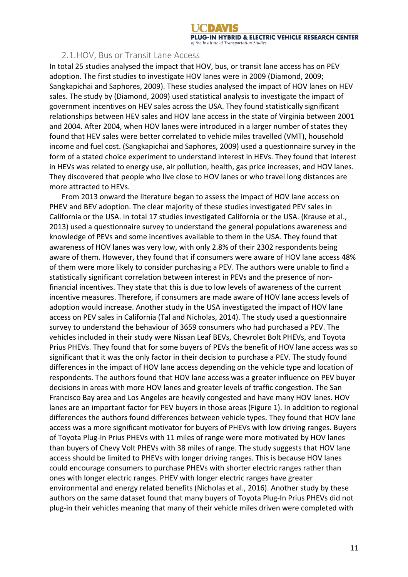#### 2.1.HOV, Bus or Transit Lane Access

In total 25 studies analysed the impact that HOV, bus, or transit lane access has on PEV adoption. The first studies to investigate HOV lanes were in 2009 (Diamond, 2009; Sangkapichai and Saphores, 2009). These studies analysed the impact of HOV lanes on HEV sales. The study by (Diamond, 2009) used statistical analysis to investigate the impact of government incentives on HEV sales across the USA. They found statistically significant relationships between HEV sales and HOV lane access in the state of Virginia between 2001 and 2004. After 2004, when HOV lanes were introduced in a larger number of states they found that HEV sales were better correlated to vehicle miles travelled (VMT), household income and fuel cost. (Sangkapichai and Saphores, 2009) used a questionnaire survey in the form of a stated choice experiment to understand interest in HEVs. They found that interest in HEVs was related to energy use, air pollution, health, gas price increases, and HOV lanes. They discovered that people who live close to HOV lanes or who travel long distances are more attracted to HEVs.

From 2013 onward the literature began to assess the impact of HOV lane access on PHEV and BEV adoption. The clear majority of these studies investigated PEV sales in California or the USA. In total 17 studies investigated California or the USA. (Krause et al., 2013) used a questionnaire survey to understand the general populations awareness and knowledge of PEVs and some incentives available to them in the USA. They found that awareness of HOV lanes was very low, with only 2.8% of their 2302 respondents being aware of them. However, they found that if consumers were aware of HOV lane access 48% of them were more likely to consider purchasing a PEV. The authors were unable to find a statistically significant correlation between interest in PEVs and the presence of nonfinancial incentives. They state that this is due to low levels of awareness of the current incentive measures. Therefore, if consumers are made aware of HOV lane access levels of adoption would increase. Another study in the USA investigated the impact of HOV lane access on PEV sales in California (Tal and Nicholas, 2014). The study used a questionnaire survey to understand the behaviour of 3659 consumers who had purchased a PEV. The vehicles included in their study were Nissan Leaf BEVs, Chevrolet Bolt PHEVs, and Toyota Prius PHEVs. They found that for some buyers of PEVs the benefit of HOV lane access was so significant that it was the only factor in their decision to purchase a PEV. The study found differences in the impact of HOV lane access depending on the vehicle type and location of respondents. The authors found that HOV lane access was a greater influence on PEV buyer decisions in areas with more HOV lanes and greater levels of traffic congestion. The San Francisco Bay area and Los Angeles are heavily congested and have many HOV lanes. HOV lanes are an important factor for PEV buyers in those areas (Figure 1). In addition to regional differences the authors found differences between vehicle types. They found that HOV lane access was a more significant motivator for buyers of PHEVs with low driving ranges. Buyers of Toyota Plug-In Prius PHEVs with 11 miles of range were more motivated by HOV lanes than buyers of Chevy Volt PHEVs with 38 miles of range. The study suggests that HOV lane access should be limited to PHEVs with longer driving ranges. This is because HOV lanes could encourage consumers to purchase PHEVs with shorter electric ranges rather than ones with longer electric ranges. PHEV with longer electric ranges have greater environmental and energy related benefits (Nicholas et al., 2016). Another study by these authors on the same dataset found that many buyers of Toyota Plug-In Prius PHEVs did not plug-in their vehicles meaning that many of their vehicle miles driven were completed with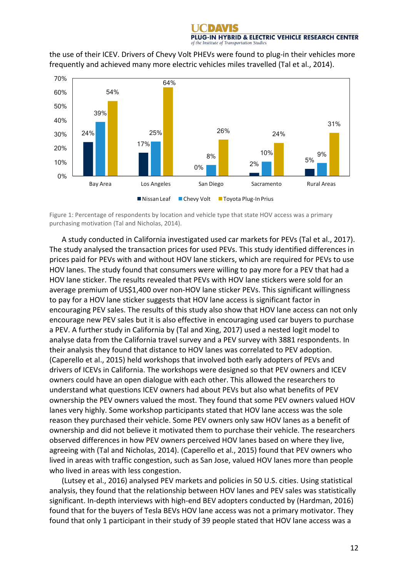the use of their ICEV. Drivers of Chevy Volt PHEVs were found to plug-in their vehicles more frequently and achieved many more electric vehicles miles travelled (Tal et al., 2014).



Figure 1: Percentage of respondents by location and vehicle type that state HOV access was a primary purchasing motivation (Tal and Nicholas, 2014).

A study conducted in California investigated used car markets for PEVs (Tal et al., 2017). The study analysed the transaction prices for used PEVs. This study identified differences in prices paid for PEVs with and without HOV lane stickers, which are required for PEVs to use HOV lanes. The study found that consumers were willing to pay more for a PEV that had a HOV lane sticker. The results revealed that PEVs with HOV lane stickers were sold for an average premium of US\$1,400 over non-HOV lane sticker PEVs. This significant willingness to pay for a HOV lane sticker suggests that HOV lane access is significant factor in encouraging PEV sales. The results of this study also show that HOV lane access can not only encourage new PEV sales but it is also effective in encouraging used car buyers to purchase a PEV. A further study in California by (Tal and Xing, 2017) used a nested logit model to analyse data from the California travel survey and a PEV survey with 3881 respondents. In their analysis they found that distance to HOV lanes was correlated to PEV adoption. (Caperello et al., 2015) held workshops that involved both early adopters of PEVs and drivers of ICEVs in California. The workshops were designed so that PEV owners and ICEV owners could have an open dialogue with each other. This allowed the researchers to understand what questions ICEV owners had about PEVs but also what benefits of PEV ownership the PEV owners valued the most. They found that some PEV owners valued HOV lanes very highly. Some workshop participants stated that HOV lane access was the sole reason they purchased their vehicle. Some PEV owners only saw HOV lanes as a benefit of ownership and did not believe it motivated them to purchase their vehicle. The researchers observed differences in how PEV owners perceived HOV lanes based on where they live, agreeing with (Tal and Nicholas, 2014). (Caperello et al., 2015) found that PEV owners who lived in areas with traffic congestion, such as San Jose, valued HOV lanes more than people who lived in areas with less congestion.

(Lutsey et al., 2016) analysed PEV markets and policies in 50 U.S. cities. Using statistical analysis, they found that the relationship between HOV lanes and PEV sales was statistically significant. In-depth interviews with high-end BEV adopters conducted by (Hardman, 2016) found that for the buyers of Tesla BEVs HOV lane access was not a primary motivator. They found that only 1 participant in their study of 39 people stated that HOV lane access was a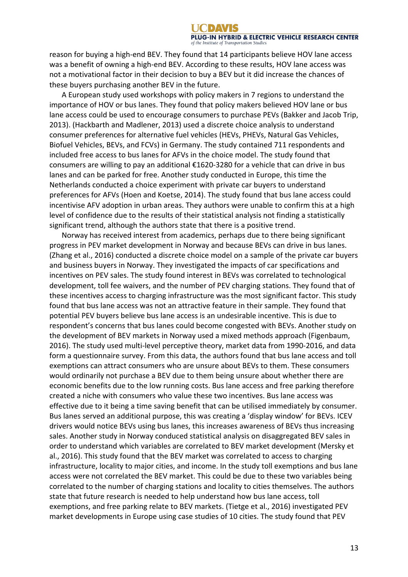reason for buying a high-end BEV. They found that 14 participants believe HOV lane access was a benefit of owning a high-end BEV. According to these results, HOV lane access was not a motivational factor in their decision to buy a BEV but it did increase the chances of these buyers purchasing another BEV in the future.

A European study used workshops with policy makers in 7 regions to understand the importance of HOV or bus lanes. They found that policy makers believed HOV lane or bus lane access could be used to encourage consumers to purchase PEVs (Bakker and Jacob Trip, 2013). (Hackbarth and Madlener, 2013) used a discrete choice analysis to understand consumer preferences for alternative fuel vehicles (HEVs, PHEVs, Natural Gas Vehicles, Biofuel Vehicles, BEVs, and FCVs) in Germany. The study contained 711 respondents and included free access to bus lanes for AFVs in the choice model. The study found that consumers are willing to pay an additional  $£1620-3280$  for a vehicle that can drive in bus lanes and can be parked for free. Another study conducted in Europe, this time the Netherlands conducted a choice experiment with private car buyers to understand preferences for AFVs (Hoen and Koetse, 2014). The study found that bus lane access could incentivise AFV adoption in urban areas. They authors were unable to confirm this at a high level of confidence due to the results of their statistical analysis not finding a statistically significant trend, although the authors state that there is a positive trend.

Norway has received interest from academics, perhaps due to there being significant progress in PEV market development in Norway and because BEVs can drive in bus lanes. (Zhang et al., 2016) conducted a discrete choice model on a sample of the private car buyers and business buyers in Norway. They investigated the impacts of car specifications and incentives on PEV sales. The study found interest in BEVs was correlated to technological development, toll fee waivers, and the number of PEV charging stations. They found that of these incentives access to charging infrastructure was the most significant factor. This study found that bus lane access was not an attractive feature in their sample. They found that potential PEV buyers believe bus lane access is an undesirable incentive. This is due to respondent's concerns that bus lanes could become congested with BEVs. Another study on the development of BEV markets in Norway used a mixed methods approach (Figenbaum, 2016). The study used multi-level perceptive theory, market data from 1990-2016, and data form a questionnaire survey. From this data, the authors found that bus lane access and toll exemptions can attract consumers who are unsure about BEVs to them. These consumers would ordinarily not purchase a BEV due to them being unsure about whether there are economic benefits due to the low running costs. Bus lane access and free parking therefore created a niche with consumers who value these two incentives. Bus lane access was effective due to it being a time saving benefit that can be utilised immediately by consumer. Bus lanes served an additional purpose, this was creating a 'display window' for BEVs. ICEV drivers would notice BEVs using bus lanes, this increases awareness of BEVs thus increasing sales. Another study in Norway conduced statistical analysis on disaggregated BEV sales in order to understand which variables are correlated to BEV market development (Mersky et al., 2016). This study found that the BEV market was correlated to access to charging infrastructure, locality to major cities, and income. In the study toll exemptions and bus lane access were not correlated the BEV market. This could be due to these two variables being correlated to the number of charging stations and locality to cities themselves. The authors state that future research is needed to help understand how bus lane access, toll exemptions, and free parking relate to BEV markets. (Tietge et al., 2016) investigated PEV market developments in Europe using case studies of 10 cities. The study found that PEV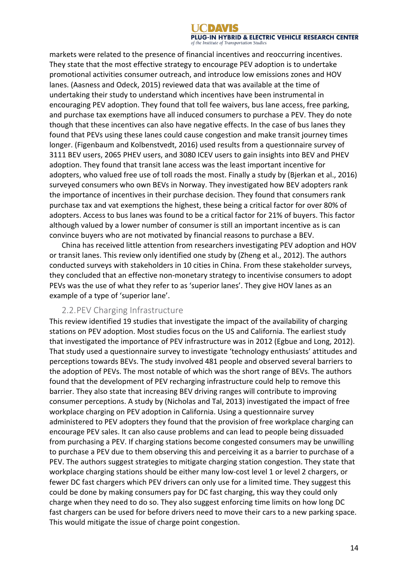markets were related to the presence of financial incentives and reoccurring incentives. They state that the most effective strategy to encourage PEV adoption is to undertake promotional activities consumer outreach, and introduce low emissions zones and HOV lanes. (Aasness and Odeck, 2015) reviewed data that was available at the time of undertaking their study to understand which incentives have been instrumental in encouraging PEV adoption. They found that toll fee waivers, bus lane access, free parking, and purchase tax exemptions have all induced consumers to purchase a PEV. They do note though that these incentives can also have negative effects. In the case of bus lanes they found that PEVs using these lanes could cause congestion and make transit journey times longer. (Figenbaum and Kolbenstvedt, 2016) used results from a questionnaire survey of 3111 BEV users, 2065 PHEV users, and 3080 ICEV users to gain insights into BEV and PHEV adoption. They found that transit lane access was the least important incentive for adopters, who valued free use of toll roads the most. Finally a study by (Bjerkan et al., 2016) surveyed consumers who own BEVs in Norway. They investigated how BEV adopters rank the importance of incentives in their purchase decision. They found that consumers rank purchase tax and vat exemptions the highest, these being a critical factor for over 80% of adopters. Access to bus lanes was found to be a critical factor for 21% of buyers. This factor although valued by a lower number of consumer is still an important incentive as is can convince buyers who are not motivated by financial reasons to purchase a BEV.

China has received little attention from researchers investigating PEV adoption and HOV or transit lanes. This review only identified one study by (Zheng et al., 2012). The authors conducted surveys with stakeholders in 10 cities in China. From these stakeholder surveys, they concluded that an effective non-monetary strategy to incentivise consumers to adopt PEVs was the use of what they refer to as 'superior lanes'. They give HOV lanes as an example of a type of 'superior lane'.

#### 2.2.PEV Charging Infrastructure

This review identified 19 studies that investigate the impact of the availability of charging stations on PEV adoption. Most studies focus on the US and California. The earliest study that investigated the importance of PEV infrastructure was in 2012 (Egbue and Long, 2012). That study used a questionnaire survey to investigate 'technology enthusiasts' attitudes and perceptions towards BEVs. The study involved 481 people and observed several barriers to the adoption of PEVs. The most notable of which was the short range of BEVs. The authors found that the development of PEV recharging infrastructure could help to remove this barrier. They also state that increasing BEV driving ranges will contribute to improving consumer perceptions. A study by (Nicholas and Tal, 2013) investigated the impact of free workplace charging on PEV adoption in California. Using a questionnaire survey administered to PEV adopters they found that the provision of free workplace charging can encourage PEV sales. It can also cause problems and can lead to people being dissuaded from purchasing a PEV. If charging stations become congested consumers may be unwilling to purchase a PEV due to them observing this and perceiving it as a barrier to purchase of a PEV. The authors suggest strategies to mitigate charging station congestion. They state that workplace charging stations should be either many low-cost level 1 or level 2 chargers, or fewer DC fast chargers which PEV drivers can only use for a limited time. They suggest this could be done by making consumers pay for DC fast charging, this way they could only charge when they need to do so. They also suggest enforcing time limits on how long DC fast chargers can be used for before drivers need to move their cars to a new parking space. This would mitigate the issue of charge point congestion.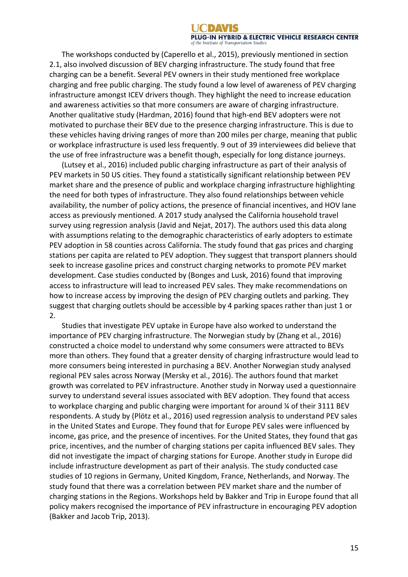The workshops conducted by (Caperello et al., 2015), previously mentioned in section 2.1, also involved discussion of BEV charging infrastructure. The study found that free charging can be a benefit. Several PEV owners in their study mentioned free workplace charging and free public charging. The study found a low level of awareness of PEV charging infrastructure amongst ICEV drivers though. They highlight the need to increase education and awareness activities so that more consumers are aware of charging infrastructure. Another qualitative study (Hardman, 2016) found that high-end BEV adopters were not motivated to purchase their BEV due to the presence charging infrastructure. This is due to these vehicles having driving ranges of more than 200 miles per charge, meaning that public or workplace infrastructure is used less frequently. 9 out of 39 interviewees did believe that the use of free infrastructure was a benefit though, especially for long distance journeys.

(Lutsey et al., 2016) included public charging infrastructure as part of their analysis of PEV markets in 50 US cities. They found a statistically significant relationship between PEV market share and the presence of public and workplace charging infrastructure highlighting the need for both types of infrastructure. They also found relationships between vehicle availability, the number of policy actions, the presence of financial incentives, and HOV lane access as previously mentioned. A 2017 study analysed the California household travel survey using regression analysis (Javid and Nejat, 2017). The authors used this data along with assumptions relating to the demographic characteristics of early adopters to estimate PEV adoption in 58 counties across California. The study found that gas prices and charging stations per capita are related to PEV adoption. They suggest that transport planners should seek to increase gasoline prices and construct charging networks to promote PEV market development. Case studies conducted by (Bonges and Lusk, 2016) found that improving access to infrastructure will lead to increased PEV sales. They make recommendations on how to increase access by improving the design of PEV charging outlets and parking. They suggest that charging outlets should be accessible by 4 parking spaces rather than just 1 or 2.

Studies that investigate PEV uptake in Europe have also worked to understand the importance of PEV charging infrastructure. The Norwegian study by (Zhang et al., 2016) constructed a choice model to understand why some consumers were attracted to BEVs more than others. They found that a greater density of charging infrastructure would lead to more consumers being interested in purchasing a BEV. Another Norwegian study analysed regional PEV sales across Norway (Mersky et al., 2016). The authors found that market growth was correlated to PEV infrastructure. Another study in Norway used a questionnaire survey to understand several issues associated with BEV adoption. They found that access to workplace charging and public charging were important for around % of their 3111 BEV respondents. A study by (Plötz et al., 2016) used regression analysis to understand PEV sales in the United States and Europe. They found that for Europe PEV sales were influenced by income, gas price, and the presence of incentives. For the United States, they found that gas price, incentives, and the number of charging stations per capita influenced BEV sales. They did not investigate the impact of charging stations for Europe. Another study in Europe did include infrastructure development as part of their analysis. The study conducted case studies of 10 regions in Germany, United Kingdom, France, Netherlands, and Norway. The study found that there was a correlation between PEV market share and the number of charging stations in the Regions. Workshops held by Bakker and Trip in Europe found that all policy makers recognised the importance of PEV infrastructure in encouraging PEV adoption (Bakker and Jacob Trip, 2013).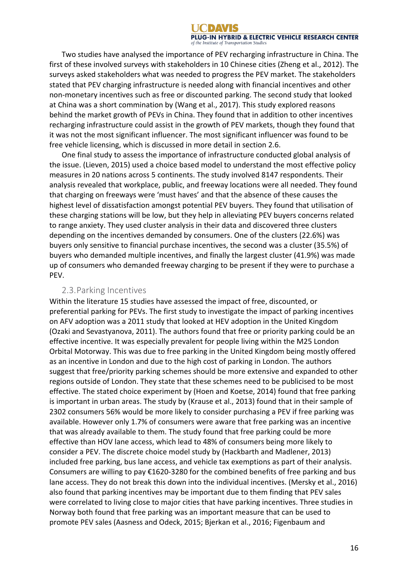Two studies have analysed the importance of PEV recharging infrastructure in China. The first of these involved surveys with stakeholders in 10 Chinese cities (Zheng et al., 2012). The surveys asked stakeholders what was needed to progress the PEV market. The stakeholders stated that PEV charging infrastructure is needed along with financial incentives and other non-monetary incentives such as free or discounted parking. The second study that looked at China was a short commination by (Wang et al., 2017). This study explored reasons behind the market growth of PEVs in China. They found that in addition to other incentives recharging infrastructure could assist in the growth of PEV markets, though they found that it was not the most significant influencer. The most significant influencer was found to be free vehicle licensing, which is discussed in more detail in section 2.6.

One final study to assess the importance of infrastructure conducted global analysis of the issue. (Lieven, 2015) used a choice based model to understand the most effective policy measures in 20 nations across 5 continents. The study involved 8147 respondents. Their analysis revealed that workplace, public, and freeway locations were all needed. They found that charging on freeways were 'must haves' and that the absence of these causes the highest level of dissatisfaction amongst potential PEV buyers. They found that utilisation of these charging stations will be low, but they help in alleviating PEV buyers concerns related to range anxiety. They used cluster analysis in their data and discovered three clusters depending on the incentives demanded by consumers. One of the clusters (22.6%) was buyers only sensitive to financial purchase incentives, the second was a cluster (35.5%) of buyers who demanded multiple incentives, and finally the largest cluster (41.9%) was made up of consumers who demanded freeway charging to be present if they were to purchase a PEV. 

#### 2.3. Parking Incentives

Within the literature 15 studies have assessed the impact of free, discounted, or preferential parking for PEVs. The first study to investigate the impact of parking incentives on AFV adoption was a 2011 study that looked at HEV adoption in the United Kingdom (Ozaki and Sevastyanova, 2011). The authors found that free or priority parking could be an effective incentive. It was especially prevalent for people living within the M25 London Orbital Motorway. This was due to free parking in the United Kingdom being mostly offered as an incentive in London and due to the high cost of parking in London. The authors suggest that free/priority parking schemes should be more extensive and expanded to other regions outside of London. They state that these schemes need to be publicised to be most effective. The stated choice experiment by (Hoen and Koetse, 2014) found that free parking is important in urban areas. The study by (Krause et al., 2013) found that in their sample of 2302 consumers 56% would be more likely to consider purchasing a PEV if free parking was available. However only 1.7% of consumers were aware that free parking was an incentive that was already available to them. The study found that free parking could be more effective than HOV lane access, which lead to 48% of consumers being more likely to consider a PEV. The discrete choice model study by (Hackbarth and Madlener, 2013) included free parking, bus lane access, and vehicle tax exemptions as part of their analysis. Consumers are willing to pay  $£1620-3280$  for the combined benefits of free parking and bus lane access. They do not break this down into the individual incentives. (Mersky et al., 2016) also found that parking incentives may be important due to them finding that PEV sales were correlated to living close to major cities that have parking incentives. Three studies in Norway both found that free parking was an important measure that can be used to promote PEV sales (Aasness and Odeck, 2015; Bjerkan et al., 2016; Figenbaum and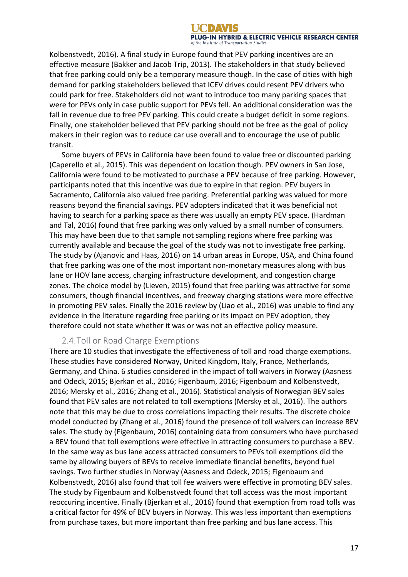Kolbenstvedt, 2016). A final study in Europe found that PEV parking incentives are an effective measure (Bakker and Jacob Trip, 2013). The stakeholders in that study believed that free parking could only be a temporary measure though. In the case of cities with high demand for parking stakeholders believed that ICEV drives could resent PEV drivers who could park for free. Stakeholders did not want to introduce too many parking spaces that were for PEVs only in case public support for PEVs fell. An additional consideration was the fall in revenue due to free PEV parking. This could create a budget deficit in some regions. Finally, one stakeholder believed that PEV parking should not be free as the goal of policy makers in their region was to reduce car use overall and to encourage the use of public transit. 

Some buyers of PEVs in California have been found to value free or discounted parking (Caperello et al., 2015). This was dependent on location though. PEV owners in San Jose, California were found to be motivated to purchase a PEV because of free parking. However, participants noted that this incentive was due to expire in that region. PEV buyers in Sacramento, California also valued free parking. Preferential parking was valued for more reasons beyond the financial savings. PEV adopters indicated that it was beneficial not having to search for a parking space as there was usually an empty PEV space. (Hardman and Tal, 2016) found that free parking was only valued by a small number of consumers. This may have been due to that sample not sampling regions where free parking was currently available and because the goal of the study was not to investigate free parking. The study by (Ajanovic and Haas, 2016) on 14 urban areas in Europe, USA, and China found that free parking was one of the most important non-monetary measures along with bus lane or HOV lane access, charging infrastructure development, and congestion charge zones. The choice model by (Lieven, 2015) found that free parking was attractive for some consumers, though financial incentives, and freeway charging stations were more effective in promoting PEV sales. Finally the 2016 review by (Liao et al., 2016) was unable to find any evidence in the literature regarding free parking or its impact on PEV adoption, they therefore could not state whether it was or was not an effective policy measure.

### 2.4. Toll or Road Charge Exemptions

There are 10 studies that investigate the effectiveness of toll and road charge exemptions. These studies have considered Norway, United Kingdom, Italy, France, Netherlands, Germany, and China. 6 studies considered in the impact of toll waivers in Norway (Aasness and Odeck, 2015; Bjerkan et al., 2016; Figenbaum, 2016; Figenbaum and Kolbenstvedt, 2016; Mersky et al., 2016; Zhang et al., 2016). Statistical analysis of Norwegian BEV sales found that PEV sales are not related to toll exemptions (Mersky et al., 2016). The authors note that this may be due to cross correlations impacting their results. The discrete choice model conducted by (Zhang et al., 2016) found the presence of toll waivers can increase BEV sales. The study by (Figenbaum, 2016) containing data from consumers who have purchased a BEV found that toll exemptions were effective in attracting consumers to purchase a BEV. In the same way as bus lane access attracted consumers to PEVs toll exemptions did the same by allowing buyers of BEVs to receive immediate financial benefits, beyond fuel savings. Two further studies in Norway (Aasness and Odeck, 2015; Figenbaum and Kolbenstvedt, 2016) also found that toll fee waivers were effective in promoting BEV sales. The study by Figenbaum and Kolbenstvedt found that toll access was the most important reoccuring incentive. Finally (Bjerkan et al., 2016) found that exemption from road tolls was a critical factor for 49% of BEV buyers in Norway. This was less important than exemptions from purchase taxes, but more important than free parking and bus lane access. This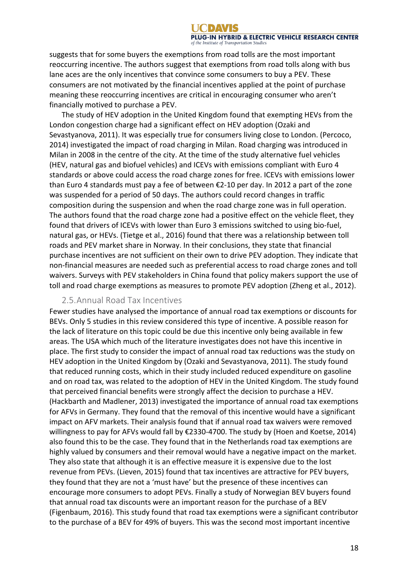suggests that for some buyers the exemptions from road tolls are the most important reoccurring incentive. The authors suggest that exemptions from road tolls along with bus lane aces are the only incentives that convince some consumers to buy a PEV. These consumers are not motivated by the financial incentives applied at the point of purchase meaning these reoccurring incentives are critical in encouraging consumer who aren't financially motived to purchase a PEV.

The study of HEV adoption in the United Kingdom found that exempting HEVs from the London congestion charge had a significant effect on HEV adoption (Ozaki and Sevastyanova, 2011). It was especially true for consumers living close to London. (Percoco, 2014) investigated the impact of road charging in Milan. Road charging was introduced in Milan in 2008 in the centre of the city. At the time of the study alternative fuel vehicles (HEV, natural gas and biofuel vehicles) and ICEVs with emissions compliant with Euro 4 standards or above could access the road charge zones for free. ICEVs with emissions lower than Euro 4 standards must pay a fee of between  $\epsilon$ 2-10 per day. In 2012 a part of the zone was suspended for a period of 50 days. The authors could record changes in traffic composition during the suspension and when the road charge zone was in full operation. The authors found that the road charge zone had a positive effect on the vehicle fleet, they found that drivers of ICEVs with lower than Euro 3 emissions switched to using bio-fuel, natural gas, or HEVs. (Tietge et al., 2016) found that there was a relationship between toll roads and PEV market share in Norway. In their conclusions, they state that financial purchase incentives are not sufficient on their own to drive PEV adoption. They indicate that non-financial measures are needed such as preferential access to road charge zones and toll waivers. Surveys with PEV stakeholders in China found that policy makers support the use of toll and road charge exemptions as measures to promote PEV adoption (Zheng et al., 2012).

#### 2.5. Annual Road Tax Incentives

Fewer studies have analysed the importance of annual road tax exemptions or discounts for BEVs. Only 5 studies in this review considered this type of incentive. A possible reason for the lack of literature on this topic could be due this incentive only being available in few areas. The USA which much of the literature investigates does not have this incentive in place. The first study to consider the impact of annual road tax reductions was the study on HEV adoption in the United Kingdom by (Ozaki and Sevastyanova, 2011). The study found that reduced running costs, which in their study included reduced expenditure on gasoline and on road tax, was related to the adoption of HEV in the United Kingdom. The study found that perceived financial benefits were strongly affect the decision to purchase a HEV. (Hackbarth and Madlener, 2013) investigated the importance of annual road tax exemptions for AFVs in Germany. They found that the removal of this incentive would have a significant impact on AFV markets. Their analysis found that if annual road tax waivers were removed willingness to pay for AFVs would fall by  $E$ 2330-4700. The study by (Hoen and Koetse, 2014) also found this to be the case. They found that in the Netherlands road tax exemptions are highly valued by consumers and their removal would have a negative impact on the market. They also state that although it is an effective measure it is expensive due to the lost revenue from PEVs. (Lieven, 2015) found that tax incentives are attractive for PEV buyers, they found that they are not a 'must have' but the presence of these incentives can encourage more consumers to adopt PEVs. Finally a study of Norwegian BEV buyers found that annual road tax discounts were an important reason for the purchase of a BEV (Figenbaum, 2016). This study found that road tax exemptions were a significant contributor to the purchase of a BEV for 49% of buyers. This was the second most important incentive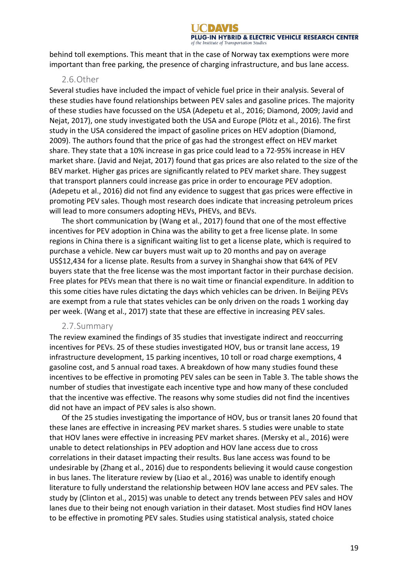behind toll exemptions. This meant that in the case of Norway tax exemptions were more important than free parking, the presence of charging infrastructure, and bus lane access.

#### 2.6.Other

Several studies have included the impact of vehicle fuel price in their analysis. Several of these studies have found relationships between PEV sales and gasoline prices. The majority of these studies have focussed on the USA (Adepetu et al., 2016; Diamond, 2009; Javid and Nejat, 2017), one study investigated both the USA and Europe (Plötz et al., 2016). The first study in the USA considered the impact of gasoline prices on HEV adoption (Diamond, 2009). The authors found that the price of gas had the strongest effect on HEV market share. They state that a 10% increase in gas price could lead to a 72-95% increase in HEV market share. (Javid and Nejat, 2017) found that gas prices are also related to the size of the BEV market. Higher gas prices are significantly related to PEV market share. They suggest that transport planners could increase gas price in order to encourage PEV adoption. (Adepetu et al., 2016) did not find any evidence to suggest that gas prices were effective in promoting PEV sales. Though most research does indicate that increasing petroleum prices will lead to more consumers adopting HEVs, PHEVs, and BEVs.

The short communication by (Wang et al., 2017) found that one of the most effective incentives for PEV adoption in China was the ability to get a free license plate. In some regions in China there is a significant waiting list to get a license plate, which is required to purchase a vehicle. New car buyers must wait up to 20 months and pay on average US\$12,434 for a license plate. Results from a survey in Shanghai show that 64% of PEV buyers state that the free license was the most important factor in their purchase decision. Free plates for PEVs mean that there is no wait time or financial expenditure. In addition to this some cities have rules dictating the days which vehicles can be driven. In Beijing PEVs are exempt from a rule that states vehicles can be only driven on the roads 1 working day per week. (Wang et al., 2017) state that these are effective in increasing PEV sales.

#### 2.7.Summary

The review examined the findings of 35 studies that investigate indirect and reoccurring incentives for PEVs. 25 of these studies investigated HOV, bus or transit lane access, 19 infrastructure development, 15 parking incentives, 10 toll or road charge exemptions, 4 gasoline cost, and 5 annual road taxes. A breakdown of how many studies found these incentives to be effective in promoting PEV sales can be seen in Table 3. The table shows the number of studies that investigate each incentive type and how many of these concluded that the incentive was effective. The reasons why some studies did not find the incentives did not have an impact of PEV sales is also shown.

Of the 25 studies investigating the importance of HOV, bus or transit lanes 20 found that these lanes are effective in increasing PEV market shares. 5 studies were unable to state that HOV lanes were effective in increasing PEV market shares. (Mersky et al., 2016) were unable to detect relationships in PEV adoption and HOV lane access due to cross correlations in their dataset impacting their results. Bus lane access was found to be undesirable by (Zhang et al., 2016) due to respondents believing it would cause congestion in bus lanes. The literature review by (Liao et al., 2016) was unable to identify enough literature to fully understand the relationship between HOV lane access and PEV sales. The study by (Clinton et al., 2015) was unable to detect any trends between PEV sales and HOV lanes due to their being not enough variation in their dataset. Most studies find HOV lanes to be effective in promoting PEV sales. Studies using statistical analysis, stated choice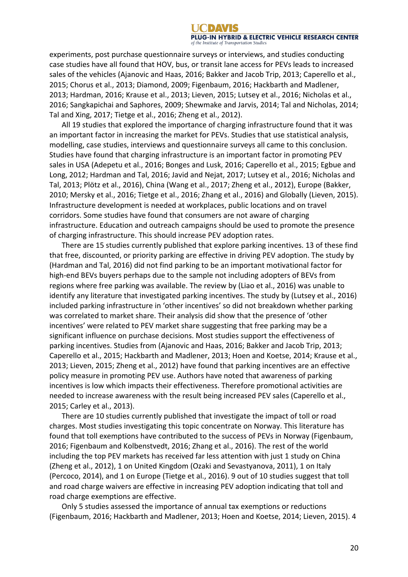experiments, post purchase questionnaire surveys or interviews, and studies conducting case studies have all found that HOV, bus, or transit lane access for PEVs leads to increased sales of the vehicles (Ajanovic and Haas, 2016; Bakker and Jacob Trip, 2013; Caperello et al., 2015; Chorus et al., 2013; Diamond, 2009; Figenbaum, 2016; Hackbarth and Madlener, 2013; Hardman, 2016; Krause et al., 2013; Lieven, 2015; Lutsey et al., 2016; Nicholas et al., 2016; Sangkapichai and Saphores, 2009; Shewmake and Jarvis, 2014; Tal and Nicholas, 2014; Tal and Xing, 2017; Tietge et al., 2016; Zheng et al., 2012).

All 19 studies that explored the importance of charging infrastructure found that it was an important factor in increasing the market for PEVs. Studies that use statistical analysis, modelling, case studies, interviews and questionnaire surveys all came to this conclusion. Studies have found that charging infrastructure is an important factor in promoting PEV sales in USA (Adepetu et al., 2016; Bonges and Lusk, 2016; Caperello et al., 2015; Egbue and Long, 2012; Hardman and Tal, 2016; Javid and Nejat, 2017; Lutsey et al., 2016; Nicholas and Tal, 2013; Plötz et al., 2016), China (Wang et al., 2017; Zheng et al., 2012), Europe (Bakker, 2010; Mersky et al., 2016; Tietge et al., 2016; Zhang et al., 2016) and Globally (Lieven, 2015). Infrastructure development is needed at workplaces, public locations and on travel corridors. Some studies have found that consumers are not aware of charging infrastructure. Education and outreach campaigns should be used to promote the presence of charging infrastructure. This should increase PEV adoption rates.

There are 15 studies currently published that explore parking incentives. 13 of these find that free, discounted, or priority parking are effective in driving PEV adoption. The study by (Hardman and Tal, 2016) did not find parking to be an important motivational factor for high-end BEVs buyers perhaps due to the sample not including adopters of BEVs from regions where free parking was available. The review by (Liao et al., 2016) was unable to identify any literature that investigated parking incentives. The study by (Lutsey et al., 2016) included parking infrastructure in 'other incentives' so did not breakdown whether parking was correlated to market share. Their analysis did show that the presence of 'other incentives' were related to PEV market share suggesting that free parking may be a significant influence on purchase decisions. Most studies support the effectiveness of parking incentives. Studies from (Ajanovic and Haas, 2016; Bakker and Jacob Trip, 2013; Caperello et al., 2015; Hackbarth and Madlener, 2013; Hoen and Koetse, 2014; Krause et al., 2013; Lieven, 2015; Zheng et al., 2012) have found that parking incentives are an effective policy measure in promoting PEV use. Authors have noted that awareness of parking incentives is low which impacts their effectiveness. Therefore promotional activities are needed to increase awareness with the result being increased PEV sales (Caperello et al., 2015; Carley et al., 2013).

There are 10 studies currently published that investigate the impact of toll or road charges. Most studies investigating this topic concentrate on Norway. This literature has found that toll exemptions have contributed to the success of PEVs in Norway (Figenbaum, 2016; Figenbaum and Kolbenstvedt, 2016; Zhang et al., 2016). The rest of the world including the top PEV markets has received far less attention with just 1 study on China (Zheng et al., 2012), 1 on United Kingdom (Ozaki and Sevastyanova, 2011), 1 on Italy (Percoco, 2014), and 1 on Europe (Tietge et al., 2016). 9 out of 10 studies suggest that toll and road charge waivers are effective in increasing PEV adoption indicating that toll and road charge exemptions are effective.

Only 5 studies assessed the importance of annual tax exemptions or reductions (Figenbaum, 2016; Hackbarth and Madlener, 2013; Hoen and Koetse, 2014; Lieven, 2015). 4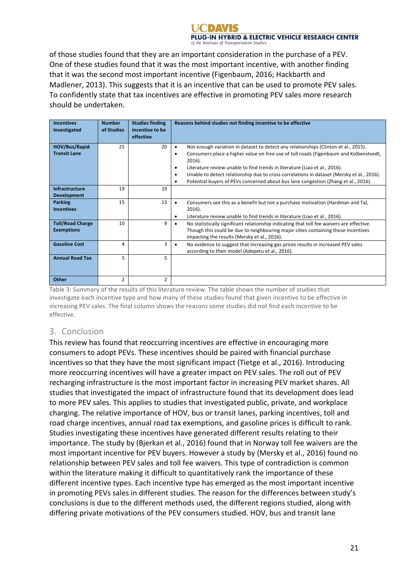of those studies found that they are an important consideration in the purchase of a PEV. One of these studies found that it was the most important incentive, with another finding that it was the second most important incentive (Figenbaum, 2016; Hackbarth and Madlener, 2013). This suggests that it is an incentive that can be used to promote PEV sales. To confidently state that tax incentives are effective in promoting PEV sales more research should be undertaken.

| <b>Incentives</b><br>Investigated            | <b>Number</b><br>of Studies | <b>Studies finding</b><br>incentive to be<br>effective | Reasons behind studies not finding incentive to be effective                                                                                                                                                                                                                                                                                                                                                                                                                                                     |
|----------------------------------------------|-----------------------------|--------------------------------------------------------|------------------------------------------------------------------------------------------------------------------------------------------------------------------------------------------------------------------------------------------------------------------------------------------------------------------------------------------------------------------------------------------------------------------------------------------------------------------------------------------------------------------|
| HOV/Bus/Rapid<br><b>Transit Lane</b>         | 25                          | 20                                                     | Not enough variation in dataset to detect any relationships (Clinton et al., 2015).<br>$\bullet$<br>Consumers place a higher value on free use of toll roads (Figenbaum and Kolbenstvedt,<br>$\bullet$<br>2016).<br>Literature review unable to find trends in literature (Liao et al., 2016).<br>٠<br>Unable to detect relationship due to cross correlations in dataset (Mersky et al., 2016).<br>$\bullet$<br>Potential buyers of PEVs concerned about bus lane congestion (Zhang et al., 2016).<br>$\bullet$ |
| Infrastructure<br><b>Development</b>         | 19                          | 19                                                     |                                                                                                                                                                                                                                                                                                                                                                                                                                                                                                                  |
| <b>Parking</b><br><b>Incentives</b>          | 15                          | 13                                                     | Consumers see this as a benefit but not a purchase motivation (Hardman and Tal,<br>2016).<br>Literature review unable to find trends in literature (Liao et al., 2016).<br>٠                                                                                                                                                                                                                                                                                                                                     |
| <b>Toll/Road Charge</b><br><b>Exemptions</b> | 10                          | 9                                                      | No statistically significant relationship indicating that toll fee waivers are effective.<br>Though this could be due to neighbouring major cities containing those incentives<br>impacting the results (Mersky et al., 2016).                                                                                                                                                                                                                                                                                   |
| <b>Gasoline Cost</b>                         | 4                           | 3                                                      | No evidence to suggest that increasing gas prices results in increased PEV sales<br>$\bullet$<br>according to their model (Adepetu et al., 2016).                                                                                                                                                                                                                                                                                                                                                                |
| <b>Annual Road Tax</b>                       | 5                           | 5                                                      |                                                                                                                                                                                                                                                                                                                                                                                                                                                                                                                  |
| Other                                        | $\overline{2}$              | $\overline{2}$                                         |                                                                                                                                                                                                                                                                                                                                                                                                                                                                                                                  |

Table 3: Summary of the results of this literature review. The table shows the number of studies that investigate each incentive type and how many of these studies found that given incentive to be effective in increasing PEV sales. The final column shows the reasons some studies did not find each incentive to be effective.

# 3. Conclusion

This review has found that reoccurring incentives are effective in encouraging more consumers to adopt PEVs. These incentives should be paired with financial purchase incentives so that they have the most significant impact (Tietge et al., 2016). Introducing more reoccurring incentives will have a greater impact on PEV sales. The roll out of PEV recharging infrastructure is the most important factor in increasing PEV market shares. All studies that investigated the impact of infrastructure found that its development does lead to more PEV sales. This applies to studies that investigated public, private, and workplace charging. The relative importance of HOV, bus or transit lanes, parking incentives, toll and road charge incentives, annual road tax exemptions, and gasoline prices is difficult to rank. Studies investigating these incentives have generated different results relating to their importance. The study by (Bjerkan et al., 2016) found that in Norway toll fee waivers are the most important incentive for PEV buyers. However a study by (Mersky et al., 2016) found no relationship between PEV sales and toll fee waivers. This type of contradiction is common within the literature making it difficult to quantitatively rank the importance of these different incentive types. Each incentive type has emerged as the most important incentive in promoting PEVs sales in different studies. The reason for the differences between study's conclusions is due to the different methods used, the different regions studied, along with differing private motivations of the PEV consumers studied. HOV, bus and transit lane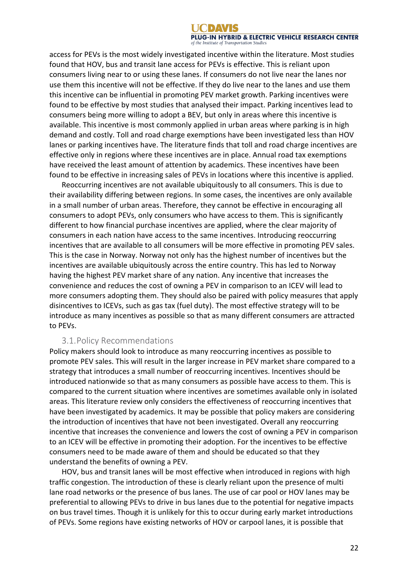access for PEVs is the most widely investigated incentive within the literature. Most studies found that HOV, bus and transit lane access for PEVs is effective. This is reliant upon consumers living near to or using these lanes. If consumers do not live near the lanes nor use them this incentive will not be effective. If they do live near to the lanes and use them this incentive can be influential in promoting PEV market growth. Parking incentives were found to be effective by most studies that analysed their impact. Parking incentives lead to consumers being more willing to adopt a BEV, but only in areas where this incentive is available. This incentive is most commonly applied in urban areas where parking is in high demand and costly. Toll and road charge exemptions have been investigated less than HOV lanes or parking incentives have. The literature finds that toll and road charge incentives are effective only in regions where these incentives are in place. Annual road tax exemptions have received the least amount of attention by academics. These incentives have been found to be effective in increasing sales of PEVs in locations where this incentive is applied.

Reoccurring incentives are not available ubiquitously to all consumers. This is due to their availability differing between regions. In some cases, the incentives are only available in a small number of urban areas. Therefore, they cannot be effective in encouraging all consumers to adopt PEVs, only consumers who have access to them. This is significantly different to how financial purchase incentives are applied, where the clear majority of consumers in each nation have access to the same incentives. Introducing reoccurring incentives that are available to all consumers will be more effective in promoting PEV sales. This is the case in Norway. Norway not only has the highest number of incentives but the incentives are available ubiquitously across the entire country. This has led to Norway having the highest PEV market share of any nation. Any incentive that increases the convenience and reduces the cost of owning a PEV in comparison to an ICEV will lead to more consumers adopting them. They should also be paired with policy measures that apply disincentives to ICEVs, such as gas tax (fuel duty). The most effective strategy will to be introduce as many incentives as possible so that as many different consumers are attracted to PEVs.

#### 3.1.Policy Recommendations

Policy makers should look to introduce as many reoccurring incentives as possible to promote PEV sales. This will result in the larger increase in PEV market share compared to a strategy that introduces a small number of reoccurring incentives. Incentives should be introduced nationwide so that as many consumers as possible have access to them. This is compared to the current situation where incentives are sometimes available only in isolated areas. This literature review only considers the effectiveness of reoccurring incentives that have been investigated by academics. It may be possible that policy makers are considering the introduction of incentives that have not been investigated. Overall any reoccurring incentive that increases the convenience and lowers the cost of owning a PEV in comparison to an ICEV will be effective in promoting their adoption. For the incentives to be effective consumers need to be made aware of them and should be educated so that they understand the benefits of owning a PEV.

HOV, bus and transit lanes will be most effective when introduced in regions with high traffic congestion. The introduction of these is clearly reliant upon the presence of multi lane road networks or the presence of bus lanes. The use of car pool or HOV lanes may be preferential to allowing PEVs to drive in bus lanes due to the potential for negative impacts on bus travel times. Though it is unlikely for this to occur during early market introductions of PEVs. Some regions have existing networks of HOV or carpool lanes, it is possible that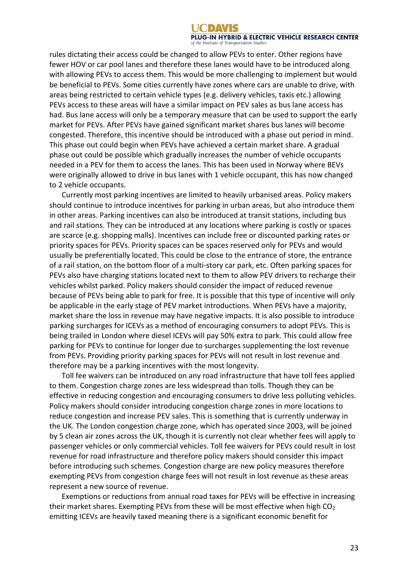rules dictating their access could be changed to allow PEVs to enter. Other regions have fewer HOV or car pool lanes and therefore these lanes would have to be introduced along with allowing PEVs to access them. This would be more challenging to implement but would be beneficial to PEVs. Some cities currently have zones where cars are unable to drive, with areas being restricted to certain vehicle types (e.g. delivery vehicles, taxis etc.) allowing PEVs access to these areas will have a similar impact on PEV sales as bus lane access has had. Bus lane access will only be a temporary measure that can be used to support the early market for PEVs. After PEVs have gained significant market shares bus lanes will become congested. Therefore, this incentive should be introduced with a phase out period in mind. This phase out could begin when PEVs have achieved a certain market share. A gradual phase out could be possible which gradually increases the number of vehicle occupants needed in a PEV for them to access the lanes. This has been used in Norway where BEVs were originally allowed to drive in bus lanes with 1 vehicle occupant, this has now changed to 2 vehicle occupants.

Currently most parking incentives are limited to heavily urbanised areas. Policy makers should continue to introduce incentives for parking in urban areas, but also introduce them in other areas. Parking incentives can also be introduced at transit stations, including bus and rail stations. They can be introduced at any locations where parking is costly or spaces are scarce (e.g. shopping malls). Incentives can include free or discounted parking rates or priority spaces for PEVs. Priority spaces can be spaces reserved only for PEVs and would usually be preferentially located. This could be close to the entrance of store, the entrance of a rail station, on the bottom floor of a multi-story car park, etc. Often parking spaces for PEVs also have charging stations located next to them to allow PEV drivers to recharge their vehicles whilst parked. Policy makers should consider the impact of reduced revenue because of PEVs being able to park for free. It is possible that this type of incentive will only be applicable in the early stage of PEV market introductions. When PEVs have a majority, market share the loss in revenue may have negative impacts. It is also possible to introduce parking surcharges for ICEVs as a method of encouraging consumers to adopt PEVs. This is being trailed in London where diesel ICEVs will pay 50% extra to park. This could allow free parking for PEVs to continue for longer due to surcharges supplementing the lost revenue from PEVs. Providing priority parking spaces for PEVs will not result in lost revenue and therefore may be a parking incentives with the most longevity.

Toll fee waivers can be introduced on any road infrastructure that have toll fees applied to them. Congestion charge zones are less widespread than tolls. Though they can be effective in reducing congestion and encouraging consumers to drive less polluting vehicles. Policy makers should consider introducing congestion charge zones in more locations to reduce congestion and increase PEV sales. This is something that is currently underway in the UK. The London congestion charge zone, which has operated since 2003, will be joined by 5 clean air zones across the UK, though it is currently not clear whether fees will apply to passenger vehicles or only commercial vehicles. Toll fee waivers for PEVs could result in lost revenue for road infrastructure and therefore policy makers should consider this impact before introducing such schemes. Congestion charge are new policy measures therefore exempting PEVs from congestion charge fees will not result in lost revenue as these areas represent a new source of revenue.

Exemptions or reductions from annual road taxes for PEVs will be effective in increasing their market shares. Exempting PEVs from these will be most effective when high  $CO<sub>2</sub>$ emitting ICEVs are heavily taxed meaning there is a significant economic benefit for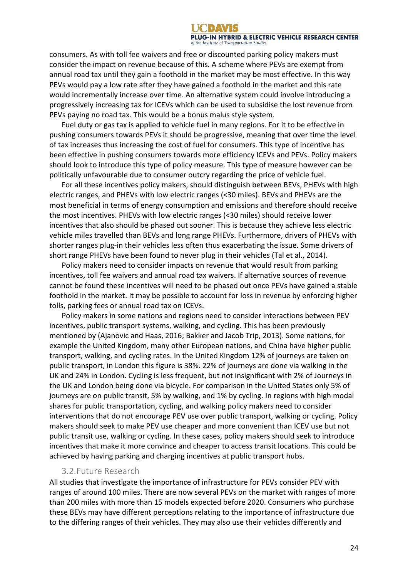consumers. As with toll fee waivers and free or discounted parking policy makers must consider the impact on revenue because of this. A scheme where PEVs are exempt from annual road tax until they gain a foothold in the market may be most effective. In this way PEVs would pay a low rate after they have gained a foothold in the market and this rate would incrementally increase over time. An alternative system could involve introducing a progressively increasing tax for ICEVs which can be used to subsidise the lost revenue from PEVs paying no road tax. This would be a bonus malus style system.

Fuel duty or gas tax is applied to vehicle fuel in many regions. For it to be effective in pushing consumers towards PEVs it should be progressive, meaning that over time the level of tax increases thus increasing the cost of fuel for consumers. This type of incentive has been effective in pushing consumers towards more efficiency ICEVs and PEVs. Policy makers should look to introduce this type of policy measure. This type of measure however can be politically unfavourable due to consumer outcry regarding the price of vehicle fuel.

For all these incentives policy makers, should distinguish between BEVs, PHEVs with high electric ranges, and PHEVs with low electric ranges (<30 miles). BEVs and PHEVs are the most beneficial in terms of energy consumption and emissions and therefore should receive the most incentives. PHEVs with low electric ranges (<30 miles) should receive lower incentives that also should be phased out sooner. This is because they achieve less electric vehicle miles travelled than BEVs and long range PHEVs. Furthermore, drivers of PHEVs with shorter ranges plug-in their vehicles less often thus exacerbating the issue. Some drivers of short range PHEVs have been found to never plug in their vehicles (Tal et al., 2014).

Policy makers need to consider impacts on revenue that would result from parking incentives, toll fee waivers and annual road tax waivers. If alternative sources of revenue cannot be found these incentives will need to be phased out once PEVs have gained a stable foothold in the market. It may be possible to account for loss in revenue by enforcing higher tolls, parking fees or annual road tax on ICEVs.

Policy makers in some nations and regions need to consider interactions between PEV incentives, public transport systems, walking, and cycling. This has been previously mentioned by (Ajanovic and Haas, 2016; Bakker and Jacob Trip, 2013). Some nations, for example the United Kingdom, many other European nations, and China have higher public transport, walking, and cycling rates. In the United Kingdom 12% of journeys are taken on public transport, in London this figure is 38%. 22% of journeys are done via walking in the UK and 24% in London. Cycling is less frequent, but not insignificant with 2% of Journeys in the UK and London being done via bicycle. For comparison in the United States only 5% of journeys are on public transit, 5% by walking, and 1% by cycling. In regions with high modal shares for public transportation, cycling, and walking policy makers need to consider interventions that do not encourage PEV use over public transport, walking or cycling. Policy makers should seek to make PEV use cheaper and more convenient than ICEV use but not public transit use, walking or cycling. In these cases, policy makers should seek to introduce incentives that make it more convince and cheaper to access transit locations. This could be achieved by having parking and charging incentives at public transport hubs.

#### 3.2.Future Research

All studies that investigate the importance of infrastructure for PEVs consider PEV with ranges of around 100 miles. There are now several PEVs on the market with ranges of more than 200 miles with more than 15 models expected before 2020. Consumers who purchase these BEVs may have different perceptions relating to the importance of infrastructure due to the differing ranges of their vehicles. They may also use their vehicles differently and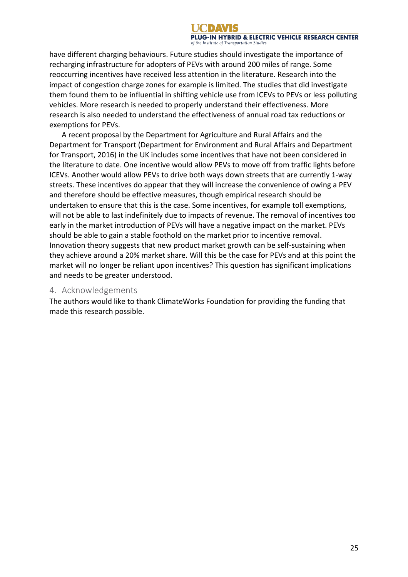have different charging behaviours. Future studies should investigate the importance of recharging infrastructure for adopters of PEVs with around 200 miles of range. Some reoccurring incentives have received less attention in the literature. Research into the impact of congestion charge zones for example is limited. The studies that did investigate them found them to be influential in shifting vehicle use from ICEVs to PEVs or less polluting vehicles. More research is needed to properly understand their effectiveness. More research is also needed to understand the effectiveness of annual road tax reductions or exemptions for PEVs.

A recent proposal by the Department for Agriculture and Rural Affairs and the Department for Transport (Department for Environment and Rural Affairs and Department for Transport, 2016) in the UK includes some incentives that have not been considered in the literature to date. One incentive would allow PEVs to move off from traffic lights before ICEVs. Another would allow PEVs to drive both ways down streets that are currently 1-way streets. These incentives do appear that they will increase the convenience of owing a PEV and therefore should be effective measures, though empirical research should be undertaken to ensure that this is the case. Some incentives, for example toll exemptions, will not be able to last indefinitely due to impacts of revenue. The removal of incentives too early in the market introduction of PEVs will have a negative impact on the market. PEVs should be able to gain a stable foothold on the market prior to incentive removal. Innovation theory suggests that new product market growth can be self-sustaining when they achieve around a 20% market share. Will this be the case for PEVs and at this point the market will no longer be reliant upon incentives? This question has significant implications and needs to be greater understood.

#### 4. Acknowledgements

The authors would like to thank ClimateWorks Foundation for providing the funding that made this research possible.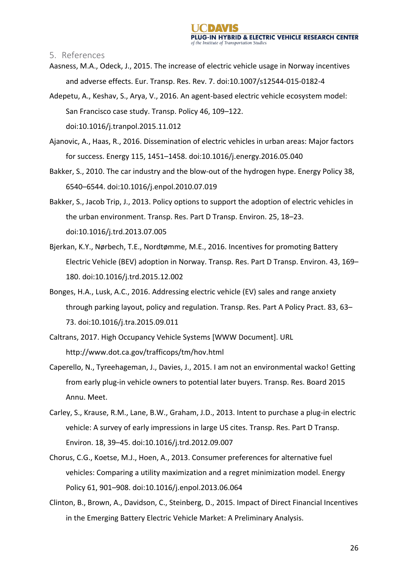5. References 

- Aasness, M.A., Odeck, J., 2015. The increase of electric vehicle usage in Norway incentives and adverse effects. Eur. Transp. Res. Rev. 7. doi:10.1007/s12544-015-0182-4
- Adepetu, A., Keshav, S., Arya, V., 2016. An agent-based electric vehicle ecosystem model: San Francisco case study. Transp. Policy 46, 109-122. doi:10.1016/j.tranpol.2015.11.012
- Ajanovic, A., Haas, R., 2016. Dissemination of electric vehicles in urban areas: Major factors for success. Energy 115, 1451–1458. doi:10.1016/j.energy.2016.05.040
- Bakker, S., 2010. The car industry and the blow-out of the hydrogen hype. Energy Policy 38, 6540–6544. doi:10.1016/j.enpol.2010.07.019
- Bakker, S., Jacob Trip, J., 2013. Policy options to support the adoption of electric vehicles in the urban environment. Transp. Res. Part D Transp. Environ. 25, 18–23. doi:10.1016/j.trd.2013.07.005
- Bjerkan, K.Y., Nørbech, T.E., Nordtømme, M.E., 2016. Incentives for promoting Battery Electric Vehicle (BEV) adoption in Norway. Transp. Res. Part D Transp. Environ. 43, 169-180. doi:10.1016/j.trd.2015.12.002
- Bonges, H.A., Lusk, A.C., 2016. Addressing electric vehicle (EV) sales and range anxiety through parking layout, policy and regulation. Transp. Res. Part A Policy Pract. 83, 63-73. doi:10.1016/j.tra.2015.09.011
- Caltrans, 2017. High Occupancy Vehicle Systems [WWW Document]. URL http://www.dot.ca.gov/trafficops/tm/hov.html
- Caperello, N., Tyreehageman, J., Davies, J., 2015. I am not an environmental wacko! Getting from early plug-in vehicle owners to potential later buyers. Transp. Res. Board 2015 Annu. Meet.
- Carley, S., Krause, R.M., Lane, B.W., Graham, J.D., 2013. Intent to purchase a plug-in electric vehicle: A survey of early impressions in large US cites. Transp. Res. Part D Transp. Environ. 18, 39–45. doi:10.1016/j.trd.2012.09.007
- Chorus, C.G., Koetse, M.J., Hoen, A., 2013. Consumer preferences for alternative fuel vehicles: Comparing a utility maximization and a regret minimization model. Energy Policy 61, 901-908. doi:10.1016/j.enpol.2013.06.064
- Clinton, B., Brown, A., Davidson, C., Steinberg, D., 2015. Impact of Direct Financial Incentives in the Emerging Battery Electric Vehicle Market: A Preliminary Analysis.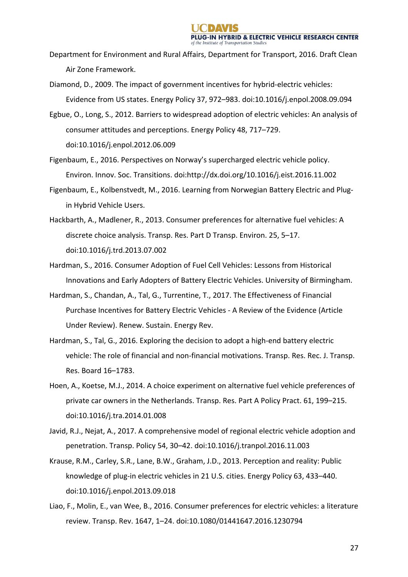- Department for Environment and Rural Affairs, Department for Transport, 2016. Draft Clean Air Zone Framework.
- Diamond, D., 2009. The impact of government incentives for hybrid-electric vehicles: Evidence from US states. Energy Policy 37, 972–983. doi:10.1016/j.enpol.2008.09.094
- Egbue, O., Long, S., 2012. Barriers to widespread adoption of electric vehicles: An analysis of consumer attitudes and perceptions. Energy Policy 48, 717-729. doi:10.1016/j.enpol.2012.06.009
- Figenbaum, E., 2016. Perspectives on Norway's supercharged electric vehicle policy. Environ. Innov. Soc. Transitions. doi:http://dx.doi.org/10.1016/j.eist.2016.11.002
- Figenbaum, E., Kolbenstvedt, M., 2016. Learning from Norwegian Battery Electric and Plugin Hybrid Vehicle Users.
- Hackbarth, A., Madlener, R., 2013. Consumer preferences for alternative fuel vehicles: A discrete choice analysis. Transp. Res. Part D Transp. Environ. 25, 5-17. doi:10.1016/j.trd.2013.07.002
- Hardman, S., 2016. Consumer Adoption of Fuel Cell Vehicles: Lessons from Historical Innovations and Early Adopters of Battery Electric Vehicles. University of Birmingham.
- Hardman, S., Chandan, A., Tal, G., Turrentine, T., 2017. The Effectiveness of Financial Purchase Incentives for Battery Electric Vehicles - A Review of the Evidence (Article Under Review). Renew. Sustain. Energy Rev.
- Hardman, S., Tal, G., 2016. Exploring the decision to adopt a high-end battery electric vehicle: The role of financial and non-financial motivations. Transp. Res. Rec. J. Transp. Res. Board 16–1783.
- Hoen, A., Koetse, M.J., 2014. A choice experiment on alternative fuel vehicle preferences of private car owners in the Netherlands. Transp. Res. Part A Policy Pract. 61, 199-215. doi:10.1016/j.tra.2014.01.008
- Javid, R.J., Nejat, A., 2017. A comprehensive model of regional electric vehicle adoption and penetration. Transp. Policy 54, 30-42. doi:10.1016/j.tranpol.2016.11.003
- Krause, R.M., Carley, S.R., Lane, B.W., Graham, J.D., 2013. Perception and reality: Public knowledge of plug-in electric vehicles in 21 U.S. cities. Energy Policy 63, 433-440. doi:10.1016/j.enpol.2013.09.018
- Liao, F., Molin, E., van Wee, B., 2016. Consumer preferences for electric vehicles: a literature review. Transp. Rev. 1647, 1–24. doi:10.1080/01441647.2016.1230794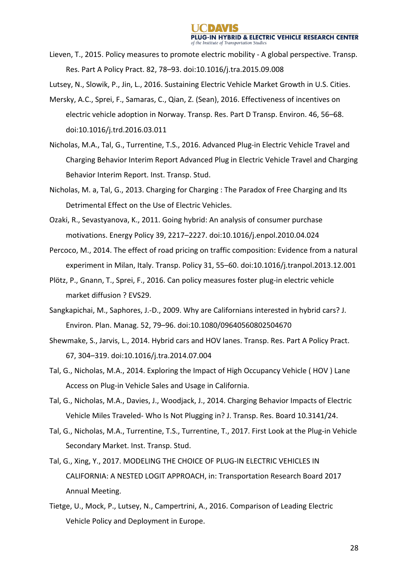- Lieven, T., 2015. Policy measures to promote electric mobility A global perspective. Transp. Res. Part A Policy Pract. 82, 78–93. doi:10.1016/j.tra.2015.09.008
- Lutsey, N., Slowik, P., Jin, L., 2016. Sustaining Electric Vehicle Market Growth in U.S. Cities.
- Mersky, A.C., Sprei, F., Samaras, C., Qian, Z. (Sean), 2016. Effectiveness of incentives on electric vehicle adoption in Norway. Transp. Res. Part D Transp. Environ. 46, 56–68. doi:10.1016/j.trd.2016.03.011
- Nicholas, M.A., Tal, G., Turrentine, T.S., 2016. Advanced Plug-in Electric Vehicle Travel and Charging Behavior Interim Report Advanced Plug in Electric Vehicle Travel and Charging Behavior Interim Report. Inst. Transp. Stud.
- Nicholas, M. a, Tal, G., 2013. Charging for Charging : The Paradox of Free Charging and Its Detrimental Effect on the Use of Electric Vehicles.
- Ozaki, R., Sevastyanova, K., 2011. Going hybrid: An analysis of consumer purchase motivations. Energy Policy 39, 2217–2227. doi:10.1016/j.enpol.2010.04.024
- Percoco, M., 2014. The effect of road pricing on traffic composition: Evidence from a natural experiment in Milan, Italy. Transp. Policy 31, 55-60. doi:10.1016/j.tranpol.2013.12.001
- Plötz, P., Gnann, T., Sprei, F., 2016. Can policy measures foster plug-in electric vehicle market diffusion ? EVS29.
- Sangkapichai, M., Saphores, J.-D., 2009. Why are Californians interested in hybrid cars? J. Environ. Plan. Manag. 52, 79-96. doi:10.1080/09640560802504670
- Shewmake, S., Jarvis, L., 2014. Hybrid cars and HOV lanes. Transp. Res. Part A Policy Pract. 67, 304–319. doi:10.1016/j.tra.2014.07.004
- Tal, G., Nicholas, M.A., 2014. Exploring the Impact of High Occupancy Vehicle (HOV) Lane Access on Plug-in Vehicle Sales and Usage in California.
- Tal, G., Nicholas, M.A., Davies, J., Woodjack, J., 2014. Charging Behavior Impacts of Electric Vehicle Miles Traveled- Who Is Not Plugging in? J. Transp. Res. Board 10.3141/24.
- Tal, G., Nicholas, M.A., Turrentine, T.S., Turrentine, T., 2017. First Look at the Plug-in Vehicle Secondary Market. Inst. Transp. Stud.
- Tal, G., Xing, Y., 2017. MODELING THE CHOICE OF PLUG-IN ELECTRIC VEHICLES IN CALIFORNIA: A NESTED LOGIT APPROACH, in: Transportation Research Board 2017 Annual Meeting.
- Tietge, U., Mock, P., Lutsey, N., Campertrini, A., 2016. Comparison of Leading Electric Vehicle Policy and Deployment in Europe.